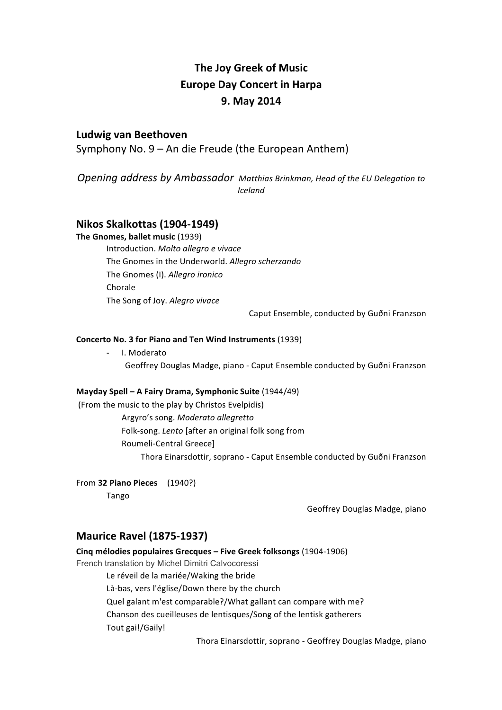## **The Joy Greek of Music Europe Day Concert in Harpa 9. May 2014**

## **Ludwig van Beethoven**

Symphony No.  $9 - An$  die Freude (the European Anthem)

**Opening address by Ambassador** Matthias Brinkman, Head of the EU Delegation to *Iceland*

### **Nikos Skalkottas (1904-1949)**

**The Gnomes, ballet music (1939)** Introduction. *Molto allegro e vivace* The Gnomes in the Underworld. Allegro scherzando The Gnomes (I). Allegro ironico Chorale The Song of Joy. Alegro vivace

Caput Ensemble, conducted by Guðni Franzson

#### **Concerto No. 3 for Piano and Ten Wind Instruments (1939)**

- I. Moderato Geoffrey Douglas Madge, piano - Caput Ensemble conducted by Guðni Franzson

#### **Mayday Spell – A Fairy Drama, Symphonic Suite (1944/49)**

(From the music to the play by Christos Evelpidis) Argyro's song. *Moderato allegretto* Folk-song. *Lento* [after an original folk song from Roumeli-Central Greece] Thora Einarsdottir, soprano - Caput Ensemble conducted by Guðni Franzson

#### From **32 Piano Pieces** (1940?)

Tango

Geoffrey Douglas Madge, piano

### **Maurice Ravel (1875-1937)**

**Cing mélodies populaires Grecques – Five Greek folksongs (1904-1906)** 

French translation by Michel Dimitri Calvocoressi

Le réveil de la mariée/Waking the bride

Là-bas, vers l'église/Down there by the church

Quel galant m'est comparable?/What gallant can compare with me?

Chanson des cueilleuses de lentisques/Song of the lentisk gatherers

Tout gai!/Gaily!

Thora Einarsdottir, soprano - Geoffrey Douglas Madge, piano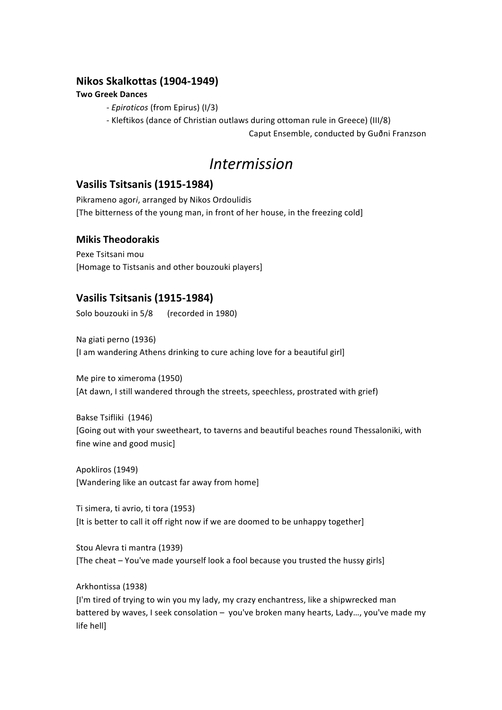## **Nikos Skalkottas (1904-1949)**

#### **Two Greek Dances**

*- Epiroticos* (from Epirus) (I/3)

- Kleftikos (dance of Christian outlaws during ottoman rule in Greece) (III/8)

Caput Ensemble, conducted by Guðni Franzson

# *Intermission*

## **Vasilis Tsitsanis (1915-1984)**

Pikrameno agori, arranged by Nikos Ordoulidis [The bitterness of the young man, in front of her house, in the freezing cold]

## **Mikis Theodorakis**

Pexe Tsitsani mou [Homage to Tistsanis and other bouzouki players]

## **Vasilis Tsitsanis (1915-1984)**

Solo bouzouki in 5/8 (recorded in 1980)

Na giati perno (1936) [I am wandering Athens drinking to cure aching love for a beautiful girl]

Me pire to ximeroma (1950) [At dawn, I still wandered through the streets, speechless, prostrated with grief)

Bakse Tsifliki (1946) [Going out with your sweetheart, to taverns and beautiful beaches round Thessaloniki, with fine wine and good music]

Apokliros (1949) [Wandering like an outcast far away from home]

Ti simera, ti avrio, ti tora (1953) [It is better to call it off right now if we are doomed to be unhappy together]

Stou Alevra ti mantra (1939) [The cheat – You've made yourself look a fool because you trusted the hussy girls]

Arkhontissa (1938) [I'm tired of trying to win you my lady, my crazy enchantress, like a shipwrecked man battered by waves, I seek consolation - you've broken many hearts, Lady..., you've made my life hell]